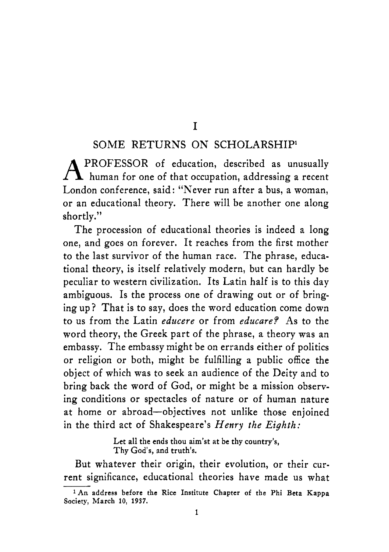## I

## SOME RETURNS ON SCHOLARSHIP'

A PROFESSOR of education, described as unusually human for one of that occupation, addressing a recent London conference, said: "Never run after a bus, a woman, or an educational theory. There will be another one along shortly.''

The procession of educational theories is indeed a long one, and goes on forever. It reaches from the first mother to the last survivor of the human race. The phrase, educational theory, is itself relatively modern, but can hardly be peculiar to western civilization. Its Latin half is to this day ambiguous. Is the process one of drawing out or of bringing up? That is to say, does the word education come down to us from the Latin *educere* or from *educare?* **As** to the word theory, the Greek part of the phrase, a theory was an embassy. The embassy might be on errands either of politics or religion or both, might be fulfilling a public office the object of which was to seek an audience of the Deity and to bring back the word of God, or might be a mission observing conditions or spectacles of nature or of human nature at home or abroad-objectives not unlike those enjoined in the third act of Shakespeare's *Henry the Eighth:* 

> Let all the ends thou aim'st at be thy country's, **Thy God's, and truth's.**

But whatever their origin, their evolution, or their current significance, educational theories have made us what

**<sup>&#</sup>x27;An address before the Rice Institute Chapter of the Phi Beta Kappa Society, March 10, 1937.**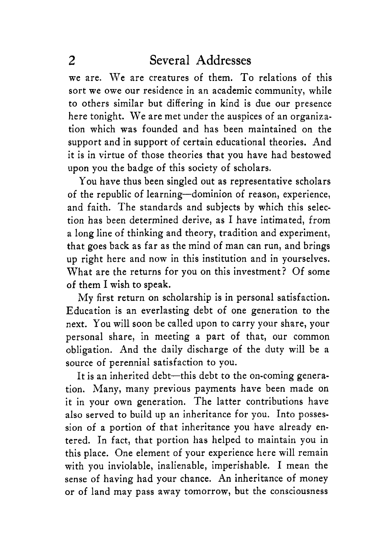we are. We are creatures of them. To relations of this sort we owe our residence in an academic community, while to others similar but differing in kind is due our presence here tonight. We are met under the auspices of an organization which was founded and has been maintained on the support and in support of certain educational theories. And it is in virtue of those theories that you have had bestowed upon you the badge of this society of scholars.

You have thus been singled out as representative scholars of the republic of learning-dominion of reason, experience, and faith. The standards and subjects by which this selection has been determined derive, as I have intimated, from a long line of thinking and theory, tradition and experiment, that goes back as far as the mind of man can run, and brings **up** right here and now in this institution and in yourselves. What are the returns for you on this investment? Of some of them I wish to speak.

My first return on scholarship is in personal satisfaction. Education is an everlasting debt of one generation to the next. You will soon be called upon to carry your share, your personal share, in meeting a part of that, our common obligation. And the daily discharge of the duty will be a source of perennial satisfaction to you.

It is an inherited debt-this debt to the on-coming generation. Many, many previous payments have been made on it in your own generation. The latter contributions have also served to build up an inheritance for you. Into possession of a portion of that inheritance you have already entered. In fact, that portion has helped to maintain you in this place. One element of your experience here will remain with you inviolable, inalienable, imperishable. I mean the sense of having had your chance. An inheritance of money or of land may pass away tomorrow, but the consciousness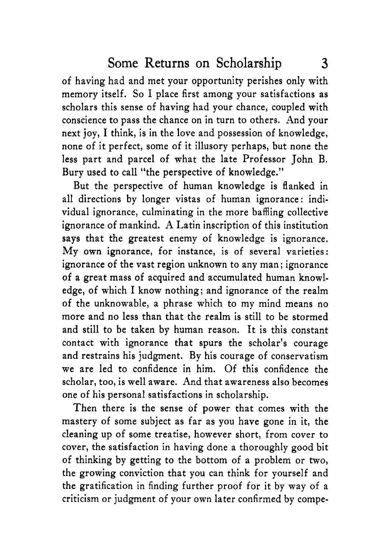of having had and met your opportunity perishes only with memory itself. So I place first among your satisfactions as scholars this sense of having had your chance, coupled with conscience to pass the chance on in turn to others. And your next joy, I think, is in the love and possession of knowledge, none of it perfect, some of it illusory perhaps, but none the less part and parcel of what the late Professor John B. Bury used to call "the perspective of knowledge."

But the perspective of human knowledge is flanked in all directions by longer vistas of human ignorance: individual ignorance, culminating in the more baffling collective ignorance of mankind. **A** Latin inscription of this institution **says** that the greatest enemy of knowledge is ignorance. My own ignorance, for instance, is of several varieties: ignorance of the vast region unknown to any man ; ignorance of a great mass of acquired and accumulated human knowledge, of which I know nothing; and ignorance of the realm of the unknowable, a phrase which to my mind means no more and no less than that the realm is still to be stormed and still to be taken by human reason. It is this constant contact with ignorance that spurs the scholar's courage and restrains his judgment. By his courage of conservatism we are led to confidence in him. Of this confidence the scholar, too, is well aware. And that awareness also becomes one of his personal satisfactions in scholarship.

Then there is the sense of power that comes with the mastery of some subject as far as you have gone in it, the cleaning up of some treatise, however short, from cover to cover, the satisfaction in having done a thoroughly good bit of thinking by getting to the bottom of a problem or *two,*  the growing conviction that you can think for yourself and the gratification in finding further proof for it by way of a criticism or judgment of your own later confirmed by compe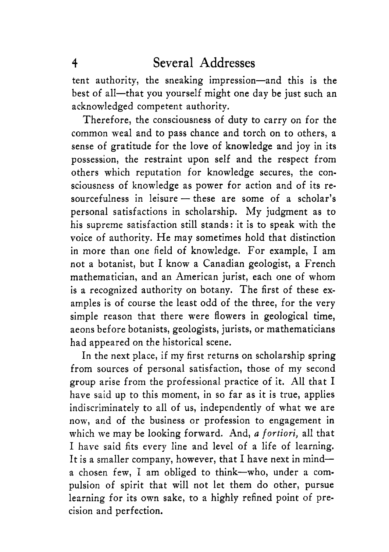tent authority, the sneaking impression-and this is the best of all-that you yourself might one day be just such an acknowledged competent authority.

Therefore, the consciousness of duty to carry on for the common weal and to pass chance and torch on to others, a sense of gratitude for the love of knowledge and joy in its possession, the restraint upon self and the respect from others which reputation for knowledge secures, the consciousness of knowledge as power for action and of its resourcefulness in leisure  $-$  these are some of a scholar's personal satisfactions in scholarship. My judgment as to his supreme satisfaction still stands: it is to speak with the voice of authority. He may sometimes hold that distinction in more than one field of knowledge. For example, I am not a botanist, but **I** know a Canadian geologist, a French mathematician, and an American jurist, each one of whom is a recognized authority on botany. The first of these examples is of course the least odd of the three, for the very simple reason that there were flowers in geological time, aeons before botanists, geologists, jurists, or mathematicians had appeared on the historical scene.

**In** the next place, if my first returns on scholarship spring from sources of personal satisfaction, those of my second group arise from the professional practice of it. All that I have said up to this moment, in so far as it is true, applies indiscriminately to all of us, independently of what we are now, and of the business or profession to engagement in which we may be looking forward. And, *a fortiori,* all that I have said fits every line and level of a life of learning. It is a smaller company, however, that I have next in minda chosen few, I am obliged to think-who, under a compulsion of spirit that will not let them do other, pursue learning for its own sake, to a highly refined point of precision and perfection.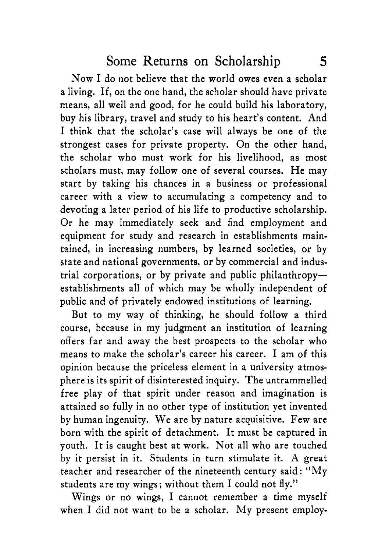Now I do not believe that the world owes even a scholar a living. If, on the one hand, the scholar should have private means, all well and good, for he could build his laboratory, buy his library, travel and study to his heart's content. And I think that the scholar's case will always be one of the strongest cases for private property. On the other hand, the scholar who must work for his livelihood, as most scholars must, may follow one of several courses. He may start by taking his chances in a business or professional career with a view to accumulating a competency and to devoting a later period of his life to productive scholarship. Or he may immediately seek and find employment and equipment for study and research in establishments maintained, in increasing numbers, by learned societies, or by state and national governments, or by commercial and industrial corporations, or by private and public philanthropyestablishments all of which may be wholly independent of public and of privately endowed institutions of learning.

But to my way of thinking, he should follow a third course, because in my judgment an institution of learning offers far and away the best prospects to the scholar who means to make the scholar's career his career. I am of this opinion because the priceless element in a university atmosphere is its spirit of disinterested inquiry. The untrammelled free play of that spirit under reason and imagination is attained so fully in no other type of institution yet invented by human ingenuity. We are by nature acquisitive. Few are born with the spirit of detachment. It must be captured in youth. It is caught best at work. Not all who are touched by it persist in it. Students in turn stimulate it. A great teacher and researcher of the nineteenth century said : "My students are my wings; without them I could not fly."

Wings or no wings, I cannot remember a time myself when I did not want to be a scholar. My present employ-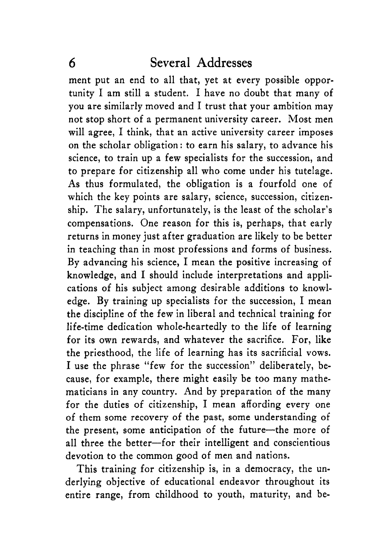ment put an end to all that, yet at every possible opportunity I am still a student. I have no doubt that many of you are similarly moved and I trust that your ambition may not stop short of a permanent university career. Most men will agree, I think, that an active university career imposes on the scholar obligation: to earn his salary, to advance his science, to train up a few specialists for the succession, and to prepare for citizenship all who come under his tutelage. As thus formulated, the obligation is a fourfold one of which the key points are salary, science, succession, citizenship. The salary, unfortunately, is the least of the scholar's compensations. One reason for this is, perhaps, that early returns in money just after graduation are likely to be better in teaching than in most professions and forms of business. By advancing his science, I mean the positive increasing of knowledge, and I should include interpretations and applications of his subject among desirable additions to knowledge. By training up specialists for the succession, I mean the discipline of the few in liberal and technical training for life-time dedication whole-heartedly to the life of learning for its own rewards, and whatever the sacrifice. For, like the priesthood, the life of learning has its sacrificial vows. I use the phrase "few for the succession" deliberately, because, for example, there might easily be too many mathematicians in any country. And by preparation of the many for the duties of citizenship, I mean affording every one of them some recovery of the past, some understanding of the present, some anticipation of the future-the more of all three the better-for their intelligent and conscientious devotion to the common good of men and nations.

This training for citizenship is, in a democracy, the underlying objective of educational endeavor throughout its entire range, from childhood to youth, maturity, and be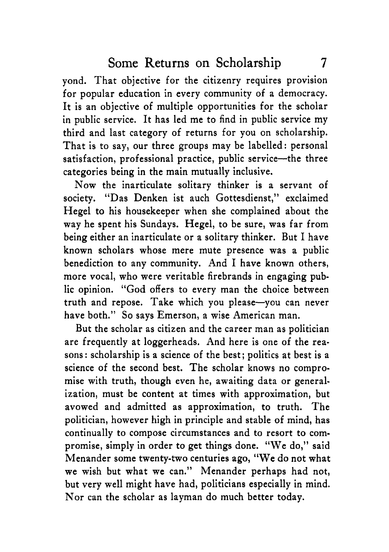yond. That objective for the citizenry requires provision for popular education in every community of a democracy. It is an objective of multiple opportunities for the scholar in public service. It has led me to find in public service my third and last category of returns for you on scholarship. That is to say, our three groups may be labelled: personal satisfaction, professional practice, public service--the three categories being in the main mutually inclusive.

Now the inarticulate solitary thinker is a servant of society. "Das Denken ist auch Gottesdienst," exclaimed Hegel to his housekeeper when she complained about the way he spent his Sundays. Hegel, to be sure, was far from being either an inarticulate or a solitary thinker. But I have known scholars whose mere mute presence was a public benediction to any community. And I have known others, more vocal, who were veritable firebrands in engaging public opinion. "God offers to every man the choice between truth and repose. Take which you please-you can never have both." So says Emerson, a wise American man.

But the scholar as citizen and the career man as politician are frequently at loggerheads. And here is one of the reasons: scholarship is a science of the best; politics at best is a science of the second best. The scholar knows no compromise with truth, though even he, awaiting data or generalization, must be content at times with approximation, but avowed and admitted as approximation, to truth. The politician, however high in principle and stable of mind, has continually to compose circumstances and to resort to compromise, simply in order to get things done. "We do," said Menander some twenty-two centuries ago, **"We** do not what we wish but what we can." Menander perhaps had not, but very well might have had, politicians especially in mind. Nor can the scholar as layman do much better today.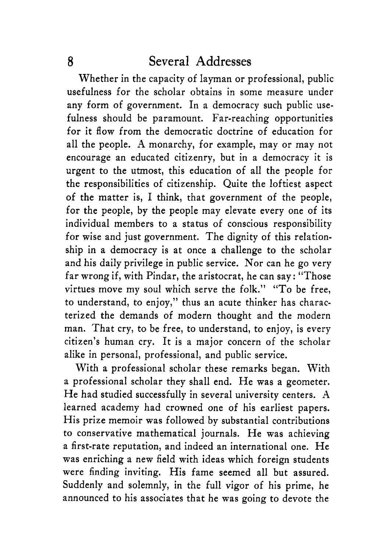Whether in the capacity of layman or professional, public usefulness for the scholar obtains in some measure under any form of government. In a democracy such public usefulness should be paramount. Far-reaching opportunities for it flow from the democratic doctrine of education for all the people. A monarchy, for example, may or may not encourage an educated citizenry, but in a democracy it is urgent to the utmost, this education of all the people for the responsibilities of citizenship. Quite the loftiest aspect of the matter is, I think, that government of the people, for the people, by the people may elevate every one of its individual members to a status of conscious responsibility for wise and just government. The dignity of this relationship in a democracy is at once a challenge to the scholar and his daily privilege in public service. Nor can he go very far wrong if, with Pindar, the aristocrat, he can say: "Those virtues move my soul which serve the folk." "To be free, to understand, to enjoy," thus an acute thinker has characterized the demands of modern thought and the modern man. That cry, to be free, to understand, to enjoy, is every citizen's human cry. It is a major concern of the scholar alike in personal, professional, and public service.

With a professional scholar these remarks began. With a professional scholar they shall end. He was a geometer. He had studied successfully in several university centers. A learned academy had crowned one of his earliest papers. His prize memoir was followed by substantial contributions to conservative mathematical journals. He was achieving a first-rate reputation, and indeed an international one. He was enriching a new field with ideas which foreign students were finding inviting. His fame seemed all but assured. Suddenly and solemnly, in the full vigor of his prime, he announced to his associates that he was going to devote the